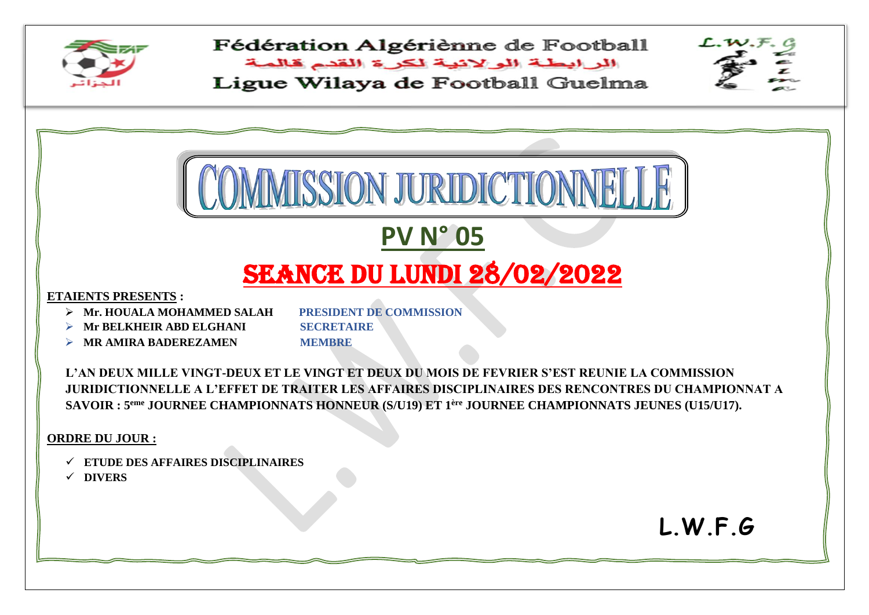

Fédération Algériènne de Football

البرابطة الولانية لكرة القدم قالمة Ligue Wilaya de Football Guelma

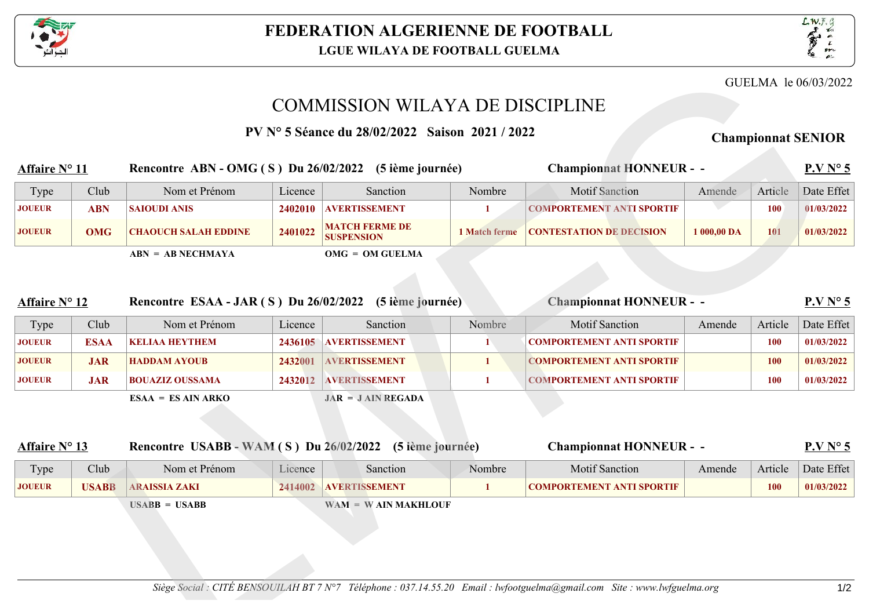



GUELMA le 06/03/2022

## COMMISSION WILAYA DE DISCIPLINE

**PV N∞ 5 SÈance du 28/02/2022 Saison 2021 / 2022 Championnat SENIOR**

## **Affaire N∞ 11 Rencontre ABN - OMG ( S ) Du 26/02/2022 (5 iËme journÈe)** Type Club Nom et Prénom Licence Sanction Nombre Motif Sanction Amende Article Date Effet **Championnat HONNEUR - - P.V N 5 JOUEUR ABN SAIOUDI ANIS 2402010 AVERTISSEMENT 1 COMPORTEMENT ANTI SPORTIF 100 01/03/2022 JOUEUR OMG CHAOUCH SALAH EDDINE 2401022 MATCH FERME DE 1 Match ferme CONTESTATION DE DECISION** 1 000,00 DA 101 **01/03/2022 ABN = AB NECHMAYA OMG = OM GUELMA** GUELMA Le 06/03/2<br>
Saison 2021/2022<br>
Championnat HONNEUR - -<br>
Nombre Motif Sanction<br>
1 COMPORTEMENT ANTI SPORTIF<br>
1 Match ferme CONTESTATION DE DECISION<br>
1 Match ferme CONTESTATION DE DECISION<br>
1 Motif Sanction<br>
1 Motif Sa

| <b>Affaire N</b> 12 |              | Rencontre ESAA - JAR (S) Du 26/02/2022                   |         | (5 ième journée)      |        | <b>Championnat HONNEUR - -</b>                                                                                           |        |            | P.VN <sub>5</sub> |
|---------------------|--------------|----------------------------------------------------------|---------|-----------------------|--------|--------------------------------------------------------------------------------------------------------------------------|--------|------------|-------------------|
| Type                | Club         | Nom et Prénom                                            | Licence | Sanction              | Nombre | <b>Motif Sanction</b>                                                                                                    | Amende | Article    | Date Effet        |
| <b>JOUEUR</b>       | <b>ESAA</b>  | <b>KELIAA HEYTHEM</b>                                    | 2436105 | <b>AVERTISSEMENT</b>  | 1      | <b>COMPORTEMENT ANTI SPORTIF</b>                                                                                         |        | 100        | 01/03/2022        |
| <b>JOUEUR</b>       | <b>JAR</b>   | <b>HADDAM AYOUB</b>                                      | 2432001 | <b>AVERTISSEMENT</b>  | 1      | <b>COMPORTEMENT ANTI SPORTIF</b>                                                                                         |        | <b>100</b> | 01/03/2022        |
| <b>JOUEUR</b>       | <b>JAR</b>   | <b>BOUAZIZ OUSSAMA</b>                                   | 2432012 | <b>AVERTISSEMENT</b>  | 1      | <b>COMPORTEMENT ANTI SPORTIF</b>                                                                                         |        | <b>100</b> | 01/03/2022        |
|                     |              | $ESAA = ESAIN ARKO$                                      |         | $JAR = JAIN REGADA$   |        |                                                                                                                          |        |            |                   |
|                     |              |                                                          |         |                       |        |                                                                                                                          |        |            |                   |
|                     |              |                                                          |         |                       |        |                                                                                                                          |        |            |                   |
| <b>Affaire N 13</b> |              | Rencontre USABB - WAM (S) Du 26/02/2022 (5 ième journée) |         |                       |        | <b>Championnat HONNEUR - -</b>                                                                                           |        |            | P.VN <sub>5</sub> |
| Type                | Club         | Nom et Prénom                                            | Licence | Sanction              | Nombre | <b>Motif Sanction</b>                                                                                                    | Amende | Article    | Date Effet        |
| <b>JOUEUR</b>       | <b>USABB</b> | <b>ARAISSIA ZAKI</b>                                     | 2414002 | <b>AVERTISSEMENT</b>  | 1      | <b>COMPORTEMENT ANTI SPORTIF</b>                                                                                         |        | 100        | 01/03/2022        |
|                     |              | $USABB = USABB$                                          |         | $WAM = WAIN MAKHLOUF$ |        |                                                                                                                          |        |            |                   |
|                     |              |                                                          |         |                       |        |                                                                                                                          |        |            |                   |
|                     |              |                                                          |         |                       |        |                                                                                                                          |        |            |                   |
|                     |              |                                                          |         |                       |        |                                                                                                                          |        |            |                   |
|                     |              |                                                          |         |                       |        |                                                                                                                          |        |            |                   |
|                     |              |                                                          |         |                       |        | Siège Social : CITÉ BENSOUILAH BT 7 N 7 Téléphone : 037.14.55.20 Email : lwfootguelma@gmail.com Site : www.lwfguelma.org |        |            | 1/2               |
|                     |              |                                                          |         |                       |        |                                                                                                                          |        |            |                   |
|                     |              |                                                          |         |                       |        |                                                                                                                          |        |            |                   |

| <b>Affaire N</b> 13 |              |                      | Rencontre USABB - WAM $(S)$ Du $26/02/2022$ |                       | (5 ième journée) | <b>Championnat HONNEUR - -</b>   |        | $P. VN$ 5 |            |  |
|---------------------|--------------|----------------------|---------------------------------------------|-----------------------|------------------|----------------------------------|--------|-----------|------------|--|
| Type                | Club         | Nom et Prénom        | Licence                                     | Sanction              | Nombre           | <b>Motif Sanction</b>            | Amende | Article   | Date Effet |  |
| <b>JOUEUR</b>       | <b>USABB</b> | <b>ARAISSIA ZAKI</b> | 2414002                                     | <b>AVERTISSEMENT</b>  |                  | <b>COMPORTEMENT ANTI SPORTIF</b> |        | 100       | 01/03/2022 |  |
|                     |              | $USABB = USABB$      |                                             | $WAM = WAIN MAKHLOUF$ |                  |                                  |        |           |            |  |